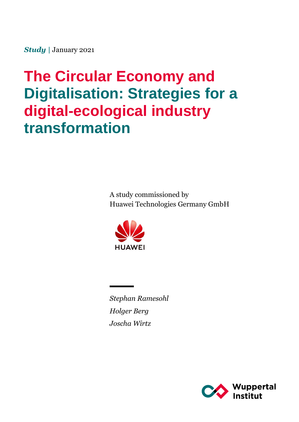*Study |* January 2021

# **The Circular Economy and Digitalisation: Strategies for a digital-ecological industry transformation**

A study commissioned by Huawei Technologies Germany GmbH



*Stephan Ramesohl Holger Berg Joscha Wirtz*

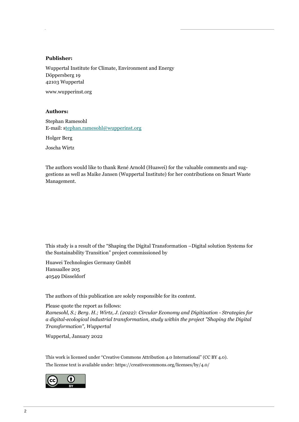#### **Publisher:**

Wuppertal Institute for Climate, Environment and Energy Döppersberg 19 42103 Wuppertal www.wupperinst.org

#### **Authors:**

Stephan Ramesohl E-mail: stephan.ramesohl@wupperinst.org

Holger Berg

Joscha Wirtz

The authors would like to thank René Arnold (Huawei) for the valuable comments and suggestions as well as Maike Jansen (Wuppertal Institute) for her contributions on Smart Waste Management.

This study is a result of the "Shaping the Digital Transformation –Digital solution Systems for the Sustainability Transition" project commissioned by

Huawei Technologies Germany GmbH Hansaallee 205 40549 Düsseldorf

The authors of this publication are solely responsible for its content.

Please quote the report as follows: *Ramesohl, S.; Berg. H.; Wirtz, J. (2022): Circular Economy and Digitization - Strategies for a digital-ecological industrial transformation, study within the project "Shaping the Digital Transformation", Wuppertal*

Wuppertal, January 2022

This work is licensed under "Creative Commons Attribution 4.0 International" (CC BY 4.0). The license text is available under: https://creativecommons.org/licenses/by/4.0/

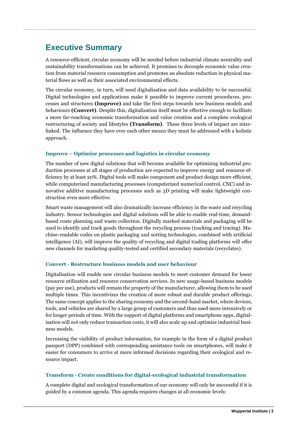# **Executive Summary**

A resource-efficient, circular economy will be needed before industrial climate neutrality and sustainability transformations can be achieved. It promises to decouple economic value creation from material resource consumption and promotes an absolute reduction in physical material flows as well as their associated environmental effects.

The circular economy, in turn, will need digitalisation and data availability to be successful. Digital technologies and applications make it possible to improve current procedures, processes and structures **(Improve)** and take the first steps towards new business models and behaviours **(Convert)**. Despite this, digitalisation itself must be effective enough to facilitate a more far-reaching economic transformation and value creation and a complete ecological restructuring of society and lifestyles **(Transform)**. These three levels of impact are interlinked. The influence they have over each other means they must be addressed with a holistic approach.

#### **Improve – Optimize processes and logistics in circular economy**

The number of new digital solutions that will become available for optimizing industrial production processes at all stages of production are expected to improve energy and resource efficiency by at least 20%. Digital tools will make component and product design more efficient, while computerized manufacturing processes (computerized numerical control, CNC) and innovative additive manufacturing processes such as 3D printing will make lightweight construction even more effective.

Smart waste management will also dramatically increase efficiency in the waste and recycling industry. Sensor technologies and digital solutions will be able to enable real-time, demandbased route planning and waste collection. Digitally marked materials and packaging will be used to identify and track goods throughout the recycling process (tracking and tracing). Machine-readable codes on plastic packaging and sorting technologies, combined with artificial intelligence (AI), will improve the quality of recycling and digital trading platforms will offer new channels for marketing quality-tested and certified secondary materials (recyclates).

#### **Convert - Restructure business models and user behaviour**

Digitalisation will enable new circular business models to meet customer demand for lower resource utilization and resource conservation services. In new usage-based business models (pay per use), products will remain the property of the manufacturer, allowing them to be used multiple times. This incentivizes the creation of more robust and durable product offerings. The same concept applies to the sharing economy and the second-hand market, where devices, tools, and vehicles are shared by a large group of customers and thus used more intensively or for longer periods of time. With the support of digital platforms and smartphone apps, digitalisation will not only reduce transaction costs, it will also scale up and optimize industrial business models.

Increasing the visibility of product information, for example in the form of a digital product passport (DPP) combined with corresponding assistance tools on smartphones, will make it easier for consumers to arrive at more informed decisions regarding their ecological and resource impact.

#### **Transform - Create conditions for digital-ecological industrial transformation**

A complete digital and ecological transformation of our economy will only be successful if it is guided by a common agenda. This agenda requires changes at all economic levels: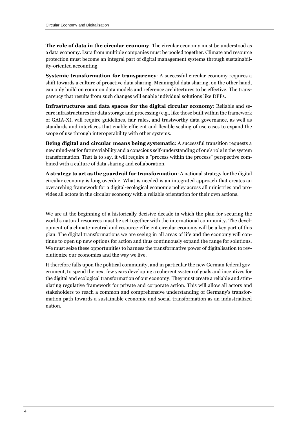**The role of data in the circular economy**: The circular economy must be understood as a data economy. Data from multiple companies must be pooled together. Climate and resource protection must become an integral part of digital management systems through sustainability-oriented accounting.

**Systemic transformation for transparency:** A successful circular economy requires a shift towards a culture of proactive data sharing. Meaningful data sharing, on the other hand, can only build on common data models and reference architectures to be effective. The transparency that results from such changes will enable individual solutions like DPPs.

**Infrastructures and data spaces for the digital circular economy**: Reliable and secure infrastructures for data storage and processing (e.g., like those built within the framework of GAIA-X), will require guidelines, fair rules, and trustworthy data governance, as well as standards and interfaces that enable efficient and flexible scaling of use cases to expand the scope of use through interoperability with other systems.

**Being digital and circular means being systematic**: A successful transition requests a new mind-set for future viability and a conscious self-understanding of one's role in the system transformation. That is to say, it will require a "process within the process" perspective combined with a culture of data sharing and collaboration.

**A strategy to act as the guardrail for transformation**: A national strategy for the digital circular economy is long overdue. What is needed is an integrated approach that creates an overarching framework for a digital-ecological economic policy across all ministries and provides all actors in the circular economy with a reliable orientation for their own actions.

We are at the beginning of a historically decisive decade in which the plan for securing the world's natural resources must be set together with the international community. The development of a climate-neutral and resource-efficient circular economy will be a key part of this plan. The digital transformations we are seeing in all areas of life and the economy will continue to open up new options for action and thus continuously expand the range for solutions. We must seize these opportunities to harness the transformative power of digitalisation to revolutionize our economies and the way we live.

It therefore falls upon the political community, and in particular the new German federal government, to spend the next few years developing a coherent system of goals and incentives for the digital and ecological transformation of our economy. They must create a reliable and stimulating regulative framework for private and corporate action. This will allow all actors and stakeholders to reach a common and comprehensive understanding of Germany's transformation path towards a sustainable economic and social transformation as an industrialized nation.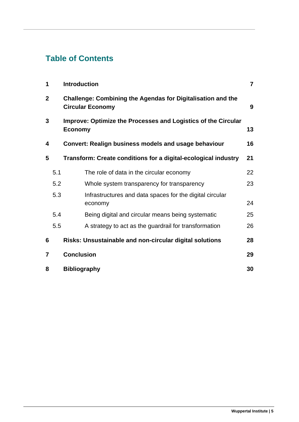# **Table of Contents**

| 1              |     | <b>Introduction</b>                                                                           | $\overline{7}$ |
|----------------|-----|-----------------------------------------------------------------------------------------------|----------------|
| $\mathbf{2}$   |     | <b>Challenge: Combining the Agendas for Digitalisation and the</b><br><b>Circular Economy</b> | 9              |
| 3              |     | Improve: Optimize the Processes and Logistics of the Circular<br><b>Economy</b>               | 13             |
| 4              |     | <b>Convert: Realign business models and usage behaviour</b>                                   | 16             |
| 5              |     | Transform: Create conditions for a digital-ecological industry                                | 21             |
|                | 5.1 | The role of data in the circular economy                                                      | 22             |
|                | 5.2 | Whole system transparency for transparency                                                    | 23             |
|                | 5.3 | Infrastructures and data spaces for the digital circular<br>economy                           | 24             |
|                | 5.4 | Being digital and circular means being systematic                                             | 25             |
|                | 5.5 | A strategy to act as the guardrail for transformation                                         | 26             |
| 6              |     | Risks: Unsustainable and non-circular digital solutions                                       | 28             |
| $\overline{7}$ |     | <b>Conclusion</b>                                                                             | 29             |
| 8              |     | <b>Bibliography</b>                                                                           | 30             |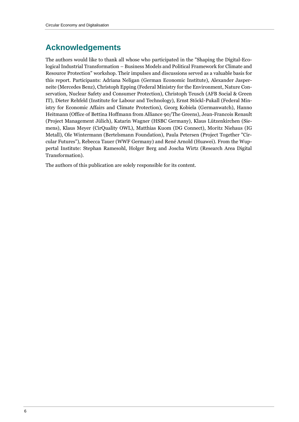# **Acknowledgements**

The authors would like to thank all whose who participated in the "Shaping the Digital-Ecological Industrial Transformation – Business Models and Political Framework for Climate and Resource Protection" workshop. Their impulses and discussions served as a valuable basis for this report. Participants: Adriana Neligan (German Economic Institute), Alexander Jasperneite (Mercedes Benz), Christoph Epping (Federal Ministry for the Environment, Nature Conservation, Nuclear Safety and Consumer Protection), Christoph Teusch (AFB Social & Green IT), Dieter Rehfeld (Institute for Labour and Technology), Ernst Stöckl-Pukall (Federal Ministry for Economic Affairs and Climate Protection), Georg Kobiela (Germanwatch), Hanno Heitmann (Office of Bettina Hoffmann from Alliance 90/The Greens), Jean-Francois Renault (Project Management Jülich), Katarin Wagner (HSBC Germany), Klaus Lützenkirchen (Siemens), Klaus Meyer (CirQuality OWL), Matthias Kuom (DG Connect), Moritz Niehaus (IG Metall), Ole Wintermann (Bertelsmann Foundation), Paula Petersen (Project Together "Circular Futures"), Rebecca Tauer (WWF Germany) and René Arnold (Huawei). From the Wuppertal Institute: Stephan Ramesohl, Holger Berg and Joscha Wirtz (Research Area Digital Transformation).

The authors of this publication are solely responsible for its content.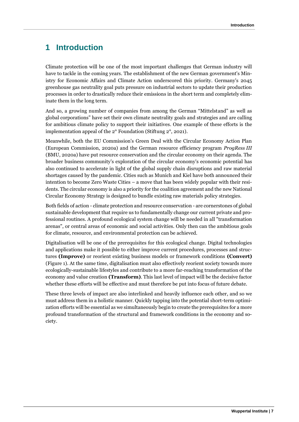# **1 Introduction**

Climate protection will be one of the most important challenges that German industry will have to tackle in the coming years. The establishment of the new German government's Ministry for Economic Affairs and Climate Action underscored this priority. Germany's 2045 greenhouse gas neutrality goal puts pressure on industrial sectors to update their production processes in order to drastically reduce their emissions in the short term and completely eliminate them in the long term.

And so, a growing number of companies from among the German "Mittelstand" as well as global corporations" have set their own climate neutrality goals and strategies and are calling for ambitious climate policy to support their initiatives. One example of these efforts is the implementation appeal of the 2° Foundation (Stiftung 2°, 2021).

Meanwhile, both the EU Commission's Green Deal with the Circular Economy Action Plan (European Commission, 2020a) and the German resource efficiency program *ProgRess III* (BMU, 2020a) have put resource conservation and the circular economy on their agenda. The broader business community's exploration of the circular economy's economic potential has also continued to accelerate in light of the global supply chain disruptions and raw material shortages caused by the pandemic. Cities such as Munich and Kiel have both announced their intention to become Zero Waste Cities – a move that has been widely popular with their residents. The circular economy is also a priority for the coalition agreement and the new National Circular Economy Strategy is designed to bundle existing raw materials policy strategies.

Both fields of action - climate protection and resource conservation - are cornerstones of global sustainable development that require us to fundamentally change our current private and professional routines. A profound ecological system change will be needed in all "transformation arenas", or central areas of economic and social activities. Only then can the ambitious goals for climate, resource, and environmental protection can be achieved.

Digitalisation will be one of the prerequisites for this ecological change. Digital technologies and applications make it possible to either improve current procedures, processes and structures **(Improve)** or reorient existing business models or framework conditions **(Convert)** (Figure 1). At the same time, digitalisation must also effectively reorient society towards more ecologically-sustainable lifestyles and contribute to a more far-reaching transformation of the economy and value creation **(Transform)**. This last level of impact will be the decisive factor whether these efforts will be effective and must therefore be put into focus of future debate.

These three levels of impact are also interlinked and heavily influence each other, and so we must address them in a holistic manner. Quickly tapping into the potential short-term optimization efforts will be essential as we simultaneously begin to create the prerequisites for a more profound transformation of the structural and framework conditions in the economy and society.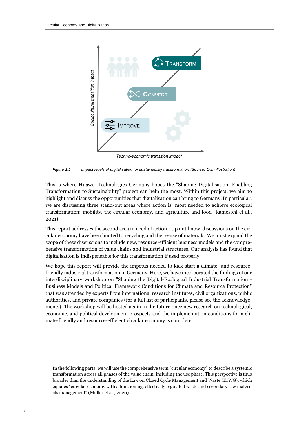

*Figure 1:1 Impact levels of digitalisation for sustainability transformation (Source: Own illustration)*

This is where Huawei Technologies Germany hopes the "Shaping Digitalisation: Enabling Transformation to Sustainability" project can help the most. Within this project, we aim to highlight and discuss the opportunities that digitalisation can bring to Germany. In particular, we are discussing three stand-out areas where action is most needed to achieve ecological transformation: mobility, the circular economy, and agriculture and food (Ramesohl et al., 2021).

This report addresses the second area in need of action. <sup>1</sup> Up until now, discussions on the circular economy have been limited to recycling and the re-use of materials. We must expand the scope of these discussions to include new, resource-efficient business models and the comprehensive transformation of value chains and industrial structures. Our analysis has found that digitalisation is indispensable for this transformation if used properly.

We hope this report will provide the impetus needed to kick-start a climate- and resourcefriendly industrial transformation in Germany. Here, we have incorporated the findings of our interdisciplinary workshop on "Shaping the Digital-Ecological Industrial Transformation - Business Models and Political Framework Conditions for Climate and Resource Protection" that was attended by experts from international research institutes, civil organizations, public authorities, and private companies (for a full list of participants, please see the acknowledgements). The workshop will be hosted again in the future once new research on technological, economic, and political development prospects and the implementation conditions for a climate-friendly and resource-efficient circular economy is complete.

––––

<sup>1</sup> In the following parts, we will use the comprehensive term "circular economy" to describe a systemic transformation across all phases of the value chain, including the use phase. This perspective is thus broader than the understanding of the Law on Closed Cycle Management and Waste (KrWG), which equates "circular economy with a functioning, effectively regulated waste and secondary raw materials management" (Müller et al., 2020).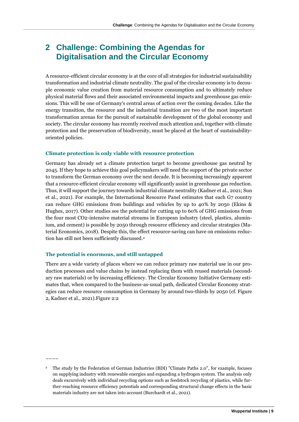# **2 Challenge: Combining the Agendas for Digitalisation and the Circular Economy**

A resource-efficient circular economy is at the core of all strategies for industrial sustainability transformation and industrial climate neutrality. The goal of the circular economy is to decouple economic value creation from material resource consumption and to ultimately reduce physical material flows and their associated environmental impacts and greenhouse gas emissions. This will be one of Germany's central areas of action over the coming decades. Like the energy transition, the resource and the industrial transition are two of the most important transformation arenas for the pursuit of sustainable development of the global economy and society. The circular economy has recently received much attention and, together with climate protection and the preservation of biodiversity, must be placed at the heart of sustainabilityoriented policies.

#### **Climate protection is only viable with resource protection**

Germany has already set a climate protection target to become greenhouse gas neutral by 2045. If they hope to achieve this goal policymakers will need the support of the private sector to transform the German economy over the next decade. It is becoming increasingly apparent that a resource-efficient circular economy will significantly assist in greenhouse gas reduction. Thus, it will support the journey towards industrial climate neutrality (Kadner et al., 2021; Sun et al., 2021). For example, the International Resource Panel estimates that each G7 country can reduce GHG emissions from buildings and vehicles by up to 40% by 2050 (Ekins & Hughes, 2017). Other studies see the potential for cutting up to 60% of GHG emissions from the four most CO2-intensive material streams in European industry (steel, plastics, aluminium, and cement) is possible by 2050 through resource efficiency and circular strategies (Material Economics, 2018). Despite this, the effect resource-saving can have on emissions reduction has still not been sufficiently discussed. 2

#### **The potential is enormous, and still untapped**

––––

There are a wide variety of places where we can reduce primary raw material use in our production processes and value chains by instead replacing them with reused materials (secondary raw materials) or by increasing efficiency. The Circular Economy Initiative Germany estimates that, when compared to the business-as-usual path, dedicated Circular Economy strategies can reduce resource consumption in Germany by around two-thirds by 2050 (cf. Figure 2, Kadner et al., 2021)[.Figure 2:2](#page-9-0)

<sup>&</sup>lt;sup>2</sup> The study by the Federation of German Industries (BDI) "Climate Paths 2.0", for example, focuses on supplying industry with renewable energies and expanding a hydrogen system. The analysis only deals excursively with individual recycling options such as feedstock recycling of plastics, while further-reaching resource efficiency potentials and corresponding structural change effects in the basic materials industry are not taken into account (Burchardt et al., 2021).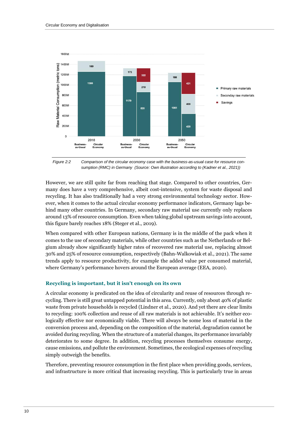

<span id="page-9-0"></span>*Figure 2:2 Comparison of the circular economy case with the business-as-usual case for resource consumption (RMC) in Germany (Source: Own illustration according to (Kadner et al., 2021))*

However, we are still quite far from reaching that stage. Compared to other countries, Germany does have a very comprehensive, albeit cost-intensive, system for waste disposal and recycling. It has also traditionally had a very strong environmental technology sector. However, when it comes to the actual circular economy performance indicators, Germany lags behind many other countries. In Germany, secondary raw material use currently only replaces around 13% of resource consumption. Even when taking global upstream savings into account, this figure barely reaches 18% (Steger et al., 2019).

When compared with other European nations, Germany is in the middle of the pack when it comes to the use of secondary materials, while other countries such as the Netherlands or Belgium already show significantly higher rates of recovered raw material use, replacing almost 30% and 25% of resource consumption, respectively (Bahn-Walkowiak et al., 2021). The same trends apply to resource productivity, for example the added value per consumed material, where Germany's performance hovers around the European average (EEA, 2020).

#### **Recycling is important, but it isn't enough on its own**

A circular economy is predicated on the idea of circularity and reuse of resources through recycling. There is still great untapped potential in this area. Currently, only about 40% of plastic waste from private households is recycled (Lindner et al., 2020). And yet there are clear limits to recycling: 100% collection and reuse of all raw materials is not achievable. It's neither ecologically effective nor economically viable. There will always be some loss of material in the conversion process and, depending on the composition of the material, degradation cannot be avoided during recycling. When the structure of a material changes, its performance invariably deteriorates to some degree. In addition, recycling processes themselves consume energy, cause emissions, and pollute the environment. Sometimes, the ecological expenses of recycling simply outweigh the benefits.

Therefore, preventing resource consumption in the first place when providing goods, services, and infrastructure is more critical that increasing recycling. This is particularly true in areas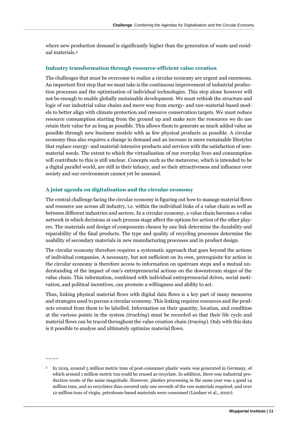where new production demand is significantly higher than the generation of waste and residual materials. 3

#### **Industry transformation through resource-efficient value creation**

The challenges that must be overcome to realize a circular economy are urgent and enormous. An important first step that we must take is the continuous improvement of industrial production processes and the optimization of individual technologies. This step alone however will not be enough to enable globally sustainable development. We must rethink the structure and logic of our industrial value chains and move way from energy- and raw-material-based models to better align with climate protection and resource conservation targets. We must reduce resource consumption starting from the ground up and make sure the resources we do use retain their value for as long as possible. This allows them to generate as much added value as possible through new business models with as few physical products as possible. A circular economy thus also requires a change in demand and an increase in more sustainable lifestyles that replace energy- and material-intensive products and services with the satisfaction of nonmaterial needs. The extent to which the virtualisation of our everyday lives and consumption will contribute to this is still unclear. Concepts such as the metaverse, which is intended to be a digital parallel world, are still in their infancy, and so their attractiveness and influence over society and our environment cannot yet be assessed.

#### **A joint agenda on digitalisation and the circular economy**

––––

The central challenge facing the circular economy is figuring out how to manage material flows and resource use across all industry, i.e. within the individual links of a value chain as well as between different industries and sectors. In a circular economy, a value chain becomes a value network in which decisions at each process stage affect the options for action of the other players. The materials and design of components chosen by one link determine the durability and reparability of the final products. The type and quality of recycling processes determine the usability of secondary materials in new manufacturing processes and in product design.

The circular economy therefore requires a systematic approach that goes beyond the actions of individual companies. A necessary, but not sufficient on its own, prerequisite for action in the circular economy is therefore access to information on upstream steps and a mutual understanding of the impact of one's entrepreneurial actions on the downstream stages of the value chain. This information, combined with individual entrepreneurial drives, social motivation, and political incentives, can promote a willingness and ability to act.

Thus, linking physical material flows with digital data flows is a key part of many measures and strategies used to pursue a circular economy. This linking requires resources and the products created from them to be labelled. Information on their quantity, location, and condition at the various points in the system *(tracking*) must be recorded so that their life cycle and material flows can be traced throughout the value creation chain *(tracing*). Only with this data is it possible to analyse and ultimately optimize material flows.

<sup>3</sup> In 2019, around 5 million metric tons of post-consumer plastic waste was generated in Germany, of which around 1 million metric ton could be reused as recyclate. In addition, there was industrial production waste of the same magnitude. However, plastics processing in the same year was a good 14 million tons, and so recyclates thus covered only one seventh of the raw materials required, and over 12 million tons of virgin, petroleum-based materials were consumed (Lindner et al., 2020).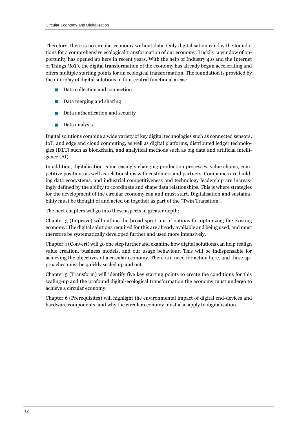Therefore, there is no circular economy without data. Only digitalisation can lay the foundations for a comprehensive ecological transformation of our economy. Luckily, a window of opportunity has opened up here in recent years. With the help of Industry 4.0 and the Internet of Things *(IoT*), the digital transformation of the economy has already begun accelerating and offers multiple starting points for an ecological transformation. The foundation is provided by the interplay of digital solutions in four central functional areas:

- Data collection and connection
- Data merging and sharing
- Data authentication and security
- Data analysis

Digital solutions combine a wide variety of key digital technologies such as connected sensors, IoT, and edge and cloud computing, as well as digital platforms, distributed ledger technologies (DLT) such as blockchain, and analytical methods such as big data and artificial intelligence (AI).

In addition, digitalisation is increasingly changing production processes, value chains, competitive positions as well as relationships with customers and partners. Companies are building data ecosystems, and industrial competitiveness and technology leadership are increasingly defined by the ability to coordinate and shape data relationships. This is where strategies for the development of the circular economy can and must start. Digitalisation and sustainability must be thought of and acted on together as part of the "Twin Transition".

The next chapters will go into these aspects in greater depth:

Chapter 3 (Improve) will outline the broad spectrum of options for optimizing the existing economy. The digital solutions required for this are already available and being used, and must therefore be systematically developed further and used more intensively.

Chapter 4 (Convert) will go one step further and examine how digital solutions can help realign value creation, business models, and our usage behaviour. This will be indispensable for achieving the objectives of a circular economy. There is a need for action here, and these approaches must be quickly scaled up and out.

Chapter 5 (Transform) will identify five key starting points to create the conditions for this scaling-up and the profound digital-ecological transformation the economy must undergo to achieve a circular economy.

Chapter 6 (Prerequisites) will highlight the environmental impact of digital end-devices and hardware components, and why the circular economy must also apply to digitalisation.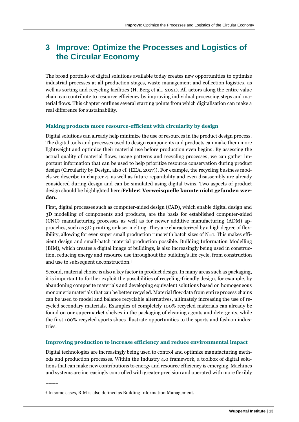### **3 Improve: Optimize the Processes and Logistics of the Circular Economy**

The broad portfolio of digital solutions available today creates new opportunities to optimize industrial processes at all production stages, waste management and collection logistics, as well as sorting and recycling facilities (H. Berg et al., 2021). All actors along the entire value chain can contribute to resource efficiency by improving individual processing steps and material flows. This chapter outlines several starting points from which digitalisation can make a real difference for sustainability.

#### **Making products more resource-efficient with circularity by design**

Digital solutions can already help minimize the use of resources in the product design process. The digital tools and processes used to design components and products can make them more lightweight and optimize their material use before production even begins. By assessing the actual quality of material flows, usage patterns and recycling processes, we can gather important information that can be used to help prioritize resource conservation during product design (Circularity by Design, also cf. (EEA, 2017)). For example, the recycling business models we describe in chapter 4, as well as future reparability and even disassembly are already considered during design and can be simulated using digital twins. Two aspects of product design should be highlighted here:**Fehler! Verweisquelle konnte nicht gefunden werden.**

First, digital processes such as computer-aided design (CAD), which enable digital design and 3D modelling of components and products, are the basis for established computer-aided (CNC) manufacturing processes as well as for newer additive manufacturing (ADM) approaches, such as 3D printing or laser melting. They are characterized by a high degree of flexibility, allowing for even super small production runs with batch sizes of  $N=1$ . This makes efficient design and small-batch material production possible. Building Information Modelling (BIM), which creates a digital image of buildings, is also increasingly being used in construction, reducing energy and resource use throughout the building's life cycle, from construction and use to subsequent deconstruction.<sup>4</sup>

Second, material choice is also a key factor in product design. In many areas such as packaging, it is important to further exploit the possibilities of recycling-friendly design, for example, by abandoning composite materials and developing equivalent solutions based on homogeneous monomeric materials that can be better recycled. Material flow data from entire process chains can be used to model and balance recyclable alternatives, ultimately increasing the use of recycled secondary materials. Examples of completely 100% recycled materials can already be found on our supermarket shelves in the packaging of cleaning agents and detergents, while the first 100% recycled sports shoes illustrate opportunities to the sports and fashion industries.

#### **Improving production to increase efficiency and reduce environmental impact**

Digital technologies are increasingly being used to control and optimize manufacturing methods and production processes. Within the Industry 4.0 framework, a toolbox of digital solutions that can make new contributions to energy and resource efficiency is emerging. Machines and systems are increasingly controlled with greater precision and operated with more flexibly

––––

<sup>4</sup> In some cases, BIM is also defined as Building Information Management.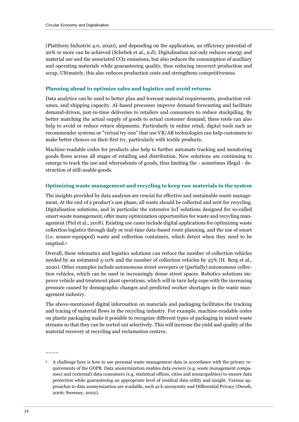(Plattform Industrie 4.0, 2020), and depending on the application, an efficiency potential of 20% or more can be achieved (Schebek et al., n.d). Digitalisation not only reduces energy and material use and the associated CO2 emissions, but also reduces the consumption of auxiliary and operating materials while guaranteeing quality, thus reducing incorrect production and scrap. Ultimately, this also reduces production costs and strengthens competitiveness.

#### **Planning ahead to optimize sales and logistics and avoid returns**

Data analytics can be used to better plan and forecast material requirements, production volumes, and shipping capacity. AI-based processes improve demand forecasting and facilitate demand-driven, just-in-time deliveries to retailers and consumers to reduce stockpiling. By better matching the actual supply of goods to actual customer demand, these tools can also help to avoid or reduce return shipments. Particularly in online retail, digital tools such as recommender systems or "virtual try-ons" that use VR/AR technologies can help customers to make better choices on their first try, particularly with textile products.

Machine-readable codes for products also help to further automate tracking and monitoring goods flows across all stages of retailing and distribution. New solutions are continuing to emerge to track the use and whereabouts of goods, thus limiting the - sometimes illegal - destruction of still-usable goods.

#### **Optimizing waste management and recycling to keep raw materials in the system**

The insights provided by data analyses are crucial for effective and sustainable waste management. At the end of a product's use phase, all waste should be collected and sent for recycling. Digitalisation solutions, and in particular the extensive IoT solutions designed for so-called smart waste management, offer many optimization opportunities for waste and recycling management (Piel et al., 2018). Existing use cases include digital applications for optimizing waste collection logistics through daily or real-time data-based route planning, and the use of smart (i.e. sensor-equipped) waste and collection containers, which detect when they need to be emptied. 5

Overall, these telematics and logistics solutions can reduce the number of collection vehicles needed by an estimated 5-10% and the number of collection vehicles by 25% (H. Berg et al., 2020). Other examples include autonomous street sweepers or (partially) autonomous collection vehicles, which can be used in increasingly dense street spaces. Robotics solutions improve vehicle and treatment plant operations, which will in turn help cope with the increasing pressure caused by demographic changes and predicted worker shortages in the waste management industry.

The above-mentioned digital information on materials and packaging facilitates the tracking and tracing of material flows in the recycling industry. For example, machine-readable codes on plastic packaging make it possible to recognize different types of packaging in mixed waste streams so that they can be sorted out selectively. This will increase the yield and quality of the material recovery at recycling and reclamation centres.

––––

<sup>5</sup> A challenge here is how to use personal waste management data in accordance with the privacy requirements of the GDPR. Data anonymization enables data owners (e.g. waste management companies) and (external) data consumers (e.g. statistical offices, cities and municipalities) to ensure data protection while guaranteeing an appropriate level of residual data utility and insight. Various approaches to data anonymization are available, such as k-anonymity and Differential Privacy (Dwork, 2006; Sweeney, 2002).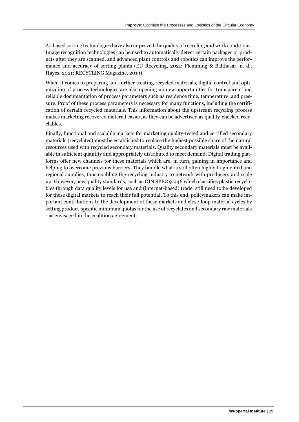AI-based sorting technologies have also improved the quality of recycling and work conditions. Image recognition technologies can be used to automatically detect certain packages or products after they are scanned, and advanced plant controls and robotics can improve the performance and accuracy of sorting plants (EU Recycling, 2021; Flemming & Balthasar, n. d.; Hayes, 2021; RECYCLING Magazine, 2019).

When it comes to preparing and further treating recycled materials, digital control and optimization of process technologies are also opening up new opportunities for transparent and reliable documentation of process parameters such as residence time, temperature, and pressure. Proof of these process parameters is necessary for many functions, including the certification of certain recycled materials. This information about the upstream recycling process makes marketing recovered material easier, as they can be advertised as quality-checked recyclables.

Finally, functional and scalable markets for marketing quality-tested and certified secondary materials (recyclates) must be established to replace the highest possible share of the natural resources used with recycled secondary materials. Quality secondary materials must be available in sufficient quantity and appropriately distributed to meet demand. Digital trading platforms offer new channels for these materials which are, in turn, gaining in importance and helping to overcome previous barriers. They bundle what is still often highly fragmented and regional supplies, thus enabling the recycling industry to network with producers and scale up. However, new quality standards, such as DIN SPEC 91446 which classifies plastic recyclables through data quality levels for use and (internet-based) trade, still need to be developed for these digital markets to reach their full potential. To this end, policymakers can make important contributions to the development of these markets and close-loop material cycles by setting product-specific minimum quotas for the use of recyclates and secondary raw materials - as envisaged in the coalition agreement.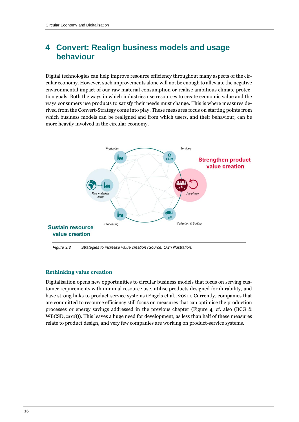### **4 Convert: Realign business models and usage behaviour**

Digital technologies can help improve resource efficiency throughout many aspects of the circular economy. However, such improvements alone will not be enough to alleviate the negative environmental impact of our raw material consumption or realise ambitious climate protection goals. Both the ways in which industries use resources to create economic value and the ways consumers use products to satisfy their needs must change. This is where measures derived from the Convert-Strategy come into play. These measures focus on starting points from which business models can be realigned and from which users, and their behaviour, can be more heavily involved in the circular economy.



*Figure 3:3 Strategies to increase value creation (Source: Own illustration)*

#### **Rethinking value creation**

Digitalisation opens new opportunities to circular business models that focus on serving customer requirements with minimal resource use, utilise products designed for durability, and have strong links to product-service systems (Engels et al., 2021). Currently, companies that are committed to resource efficiency still focus on measures that can optimise the production processes or energy savings addressed in the previous chapter (Figure 4, cf. also (BCG & WBCSD, 2018)). This leaves a huge need for development, as less than half of these measures relate to product design, and very few companies are working on product-service systems.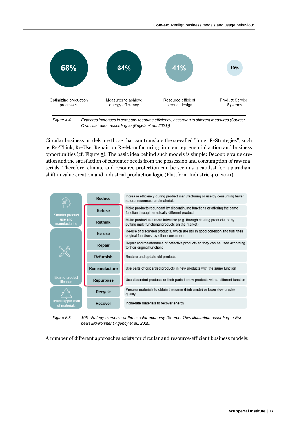

*Figure 4:4 Expected increases in company resource efficiency, according to different measures (Source: Own illustration according to (Engels et al., 2021))*

Circular business models are those that can translate the so-called "inner R-Strategies", such as Re-Think, Re-Use, Repair, or Re-Manufacturing, into entrepreneurial action and business opportunities (cf. Figure 5). The basic idea behind such models is simple: Decouple value creation and the satisfaction of customer needs from the possession and consumption of raw materials. Therefore, climate and resource protection can be seen as a catalyst for a paradigm shift in value creation and industrial production logic (Plattform Industrie 4.0, 2021).



*Figure 5:5 10R strategy elements of the circular economy (Source: Own illustration according to European Environment Agency et al., 2020)*

A number of different approaches exists for circular and resource-efficient business models: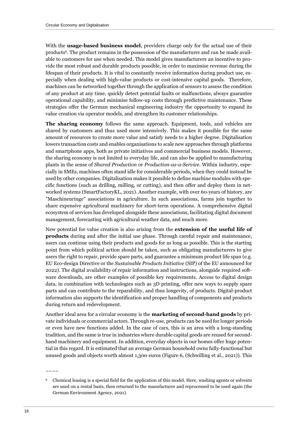With the **usage-based business model**, providers charge only for the actual use of their products6. The product remains in the possession of the manufacturer and can be made available to customers for use when needed. This model gives manufacturers an incentive to provide the most robust and durable products possible, in order to maximise revenue during the lifespan of their products. It is vital to constantly receive information during product use, especially when dealing with high-value products or cost-intensive capital goods. Therefore, machines can be networked together through the application of sensors to assess the condition of any product at any time, quickly detect potential faults or malfunctions, always guarantee operational capability, and minimise follow-up costs through predictive maintenance. These strategies offer the German mechanical engineering industry the opportunity to expand its value creation via operator models, and strengthen its customer relationships.

**The sharing economy** follows the same approach. Equipment, tools, and vehicles are shared by customers and thus used more intensively. This makes it possible for the same amount of resources to create more value and satisfy needs to a higher degree. Digitalisation lowers transaction costs and enables organisations to scale new approaches through platforms and smartphone apps, both as private initiatives and commercial business models. However, the sharing economy is not limited to everyday life, and can also be applied to manufacturing plants in the sense of *Shared Production* or *Production-as-a-Service*. Within industry, especially in SMEs, machines often stand idle for considerable periods, when they could instead be used by other companies. Digitalisation makes it possible to define machine modules with specific functions (such as drilling, milling, or cutting), and then offer and deploy them in networked systems (SmartFactoryKL, 2021). Another example, with over 60-years of history, are "Maschinenringe" associations in agriculture. In such associations, farms join together to share expensive agricultural machinery for short-term operations. A comprehensive digital ecosystem of services has developed alongside these associations, facilitating digital document management, forecasting with agricultural weather data, and much more.

New potential for value creation is also arising from the **extension of the useful life of products** during and after the initial use phase. Through careful repair and maintenance, users can continue using their products and goods for as long as possible. This is the starting point from which political action should be taken, such as obligating manufacturers to give users the right to repair, provide spare parts, and guarantee a minimum product life span (e.g. EU Eco-design Directive or the *Sustainable Products Initiative* (SIP) of the EU announced for 2022). The digital availability of repair information and instructions, alongside required software downloads, are other examples of possible key requirements. Access to digital design data, in combination with technologies such as 3D printing, offer new ways to supply spare parts and can contribute to the reparability, and thus longevity, of products. Digital-product information also supports the identification and proper handling of components and products during return and redevelopment.

Another ideal area for a circular economy is the **marketing of second-hand goods** by private individuals or commercial actors. Through re-use, products can be used for longer periods or even have new functions added. In the case of cars, this is an area with a long-standing tradition, and the same is true in industries where durable capital goods are reused for secondhand machinery and equipment. In addition, everyday objects in our homes offer huge potential in this regard. It is estimated that an average German household owns fully-functional but unused goods and objects worth almost 1,300 euros (Figure 6, (Schwilling et al., 2021)). This

––––

<sup>6</sup> Chemical leasing is a special field for the application of this model. Here, washing agents or solvents are used on a rental basis, then returned to the manufacturer and reprocessed to be used again (the German Environment Agency, 2021).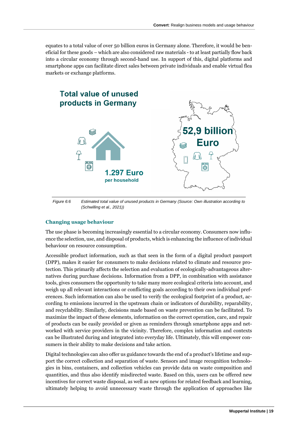equates to a total value of over 50 billion euros in Germany alone. Therefore, it would be beneficial for these goods – which are also considered raw materials - to at least partially flow back into a circular economy through second-hand use. In support of this, digital platforms and smartphone apps can facilitate direct sales between private individuals and enable virtual flea markets or exchange platforms.



*Figure 6:6 Estimated total value of unused products in Germany (Source: Own illustration according to (Schwilling et al., 2021))*

#### **Changing usage behaviour**

The use phase is becoming increasingly essential to a circular economy. Consumers now influence the selection, use, and disposal of products, which is enhancing the influence of individual behaviour on resource consumption.

Accessible product information, such as that seen in the form of a digital product passport (DPP), makes it easier for consumers to make decisions related to climate and resource protection. This primarily affects the selection and evaluation of ecologically-advantageous alternatives during purchase decisions. Information from a DPP, in combination with assistance tools, gives consumers the opportunity to take many more ecological criteria into account, and weigh up all relevant interactions or conflicting goals according to their own individual preferences. Such information can also be used to verify the ecological footprint of a product, according to emissions incurred in the upstream chain or indicators of durability, reparability, and recyclability. Similarly, decisions made based on waste prevention can be facilitated. To maximize the impact of these elements, information on the correct operation, care, and repair of products can be easily provided or given as reminders through smartphone apps and networked with service providers in the vicinity. Therefore, complex information and contexts can be illustrated during and integrated into everyday life. Ultimately, this will empower consumers in their ability to make decisions and take action.

Digital technologies can also offer us guidance towards the end of a product's lifetime and support the correct collection and separation of waste. Sensors and image recognition technologies in bins, containers, and collection vehicles can provide data on waste composition and quantities, and thus also identify misdirected waste. Based on this, users can be offered new incentives for correct waste disposal, as well as new options for related feedback and learning, ultimately helping to avoid unnecessary waste through the application of approaches like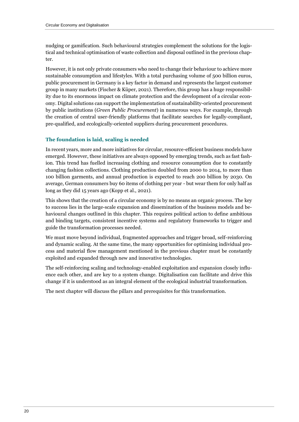nudging or gamification. Such behavioural strategies complement the solutions for the logistical and technical optimisation of waste collection and disposal outlined in the previous chapter.

However, it is not only private consumers who need to change their behaviour to achieve more sustainable consumption and lifestyles. With a total purchasing volume of 500 billion euros, public procurement in Germany is a key factor in demand and represents the largest customer group in many markets (Fischer & Küper, 2021). Therefore, this group has a huge responsibility due to its enormous impact on climate protection and the development of a circular economy. Digital solutions can support the implementation of sustainability-oriented procurement by public institutions (*Green Public Procurement*) in numerous ways. For example, through the creation of central user-friendly platforms that facilitate searches for legally-compliant, pre-qualified, and ecologically-oriented suppliers during procurement procedures.

#### **The foundation is laid, scaling is needed**

In recent years, more and more initiatives for circular, resource-efficient business models have emerged. However, these initiatives are always opposed by emerging trends, such as fast fashion. This trend has fuelled increasing clothing and resource consumption due to constantly changing fashion collections. Clothing production doubled from 2000 to 2014, to more than 100 billion garments, and annual production is expected to reach 200 billion by 2030. On average, German consumers buy 60 items of clothing per year - but wear them for only half as long as they did 15 years ago (Kopp et al., 2021).

This shows that the creation of a circular economy is by no means an organic process. The key to success lies in the large-scale expansion and dissemination of the business models and behavioural changes outlined in this chapter. This requires political action to define ambitious and binding targets, consistent incentive systems and regulatory frameworks to trigger and guide the transformation processes needed.

We must move beyond individual, fragmented approaches and trigger broad, self-reinforcing and dynamic scaling. At the same time, the many opportunities for optimising individual process and material flow management mentioned in the previous chapter must be constantly exploited and expanded through new and innovative technologies.

The self-reinforcing scaling and technology-enabled exploitation and expansion closely influence each other, and are key to a system change. Digitalisation can facilitate and drive this change if it is understood as an integral element of the ecological industrial transformation.

The next chapter will discuss the pillars and prerequisites for this transformation.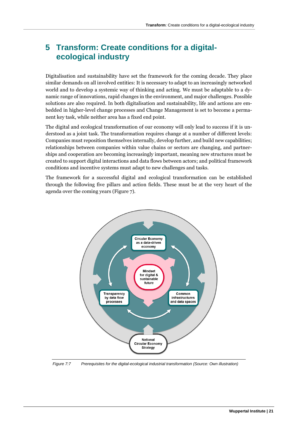# **5 Transform: Create conditions for a digitalecological industry**

Digitalisation and sustainability have set the framework for the coming decade. They place similar demands on all involved entities: It is necessary to adapt to an increasingly networked world and to develop a systemic way of thinking and acting. We must be adaptable to a dynamic range of innovations, rapid changes in the environment, and major challenges. Possible solutions are also required. In both digitalisation and sustainability, life and actions are embedded in higher-level change processes and Change Management is set to become a permanent key task, while neither area has a fixed end point.

The digital and ecological transformation of our economy will only lead to success if it is understood as a joint task. The transformation requires change at a number of different levels: Companies must reposition themselves internally, develop further, and build new capabilities; relationships between companies within value chains or sectors are changing, and partnerships and cooperation are becoming increasingly important, meaning new structures must be created to support digital interactions and data flows between actors; and political framework conditions and incentive systems must adapt to new challenges and tasks.

The framework for a successful digital and ecological transformation can be established through the following five pillars and action fields. These must be at the very heart of the agenda over the coming years (Figure 7).



*Figure 7:7 Prerequisites for the digital-ecological industrial transformation (Source: Own illustration)*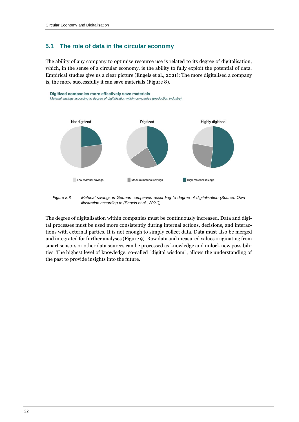#### **5.1 The role of data in the circular economy**

The ability of any company to optimise resource use is related to its degree of digitalisation, which, in the sense of a circular economy, is the ability to fully exploit the potential of data. Empirical studies give us a clear picture (Engels et al., 2021): The more digitalised a company is, the more successfully it can save materials (Figure 8).



*Figure 8:8 Material savings in German companies according to degree of digitalisation (Source: Own illustration according to (Engels et al., 2021))*

The degree of digitalisation within companies must be continuously increased. Data and digital processes must be used more consistently during internal actions, decisions, and interactions with external parties. It is not enough to simply collect data. Data must also be merged and integrated for further analyses (Figure 9). Raw data and measured values originating from smart sensors or other data sources can be processed as knowledge and unlock new possibilities. The highest level of knowledge, so-called "digital wisdom", allows the understanding of the past to provide insights into the future.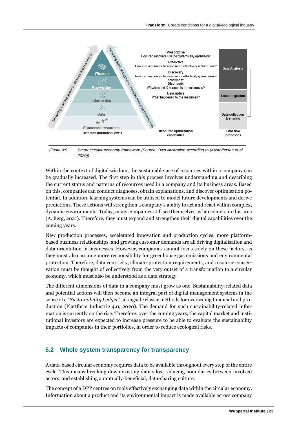

*Figure 9:9 Smart circular economy framework (Source: Own illustration according to (Kristoffersen et al., 2020))*

Within the context of digital wisdom, the sustainable use of resources within a company can be gradually increased. The first step in this process involves understanding and describing the current status and patterns of resources used in a company and its business areas. Based on this, companies can conduct diagnoses, obtain explanations, and discover optimisation potential. In addition, learning systems can be utilised to model future developments and derive predictions. These actions will strengthen a company's ability to act and react within complex, dynamic environments. Today, many companies still see themselves as latecomers in this area (A. Berg, 2021). Therefore, they must expand and strengthen their digital capabilities over the coming years.

New production processes, accelerated innovation and production cycles, more platformbased business relationships, and growing customer demands are all driving digitalisation and data orientation in businesses. However, companies cannot focus solely on these factors, as they must also assume more responsibility for greenhouse gas emissions and environmental protection. Therefore, data centricity, climate-protection requirements, and resource conservation must be thought of collectively from the very outset of a transformation to a circular economy, which must also be understood as a data strategy.

The different dimensions of data in a company must grow as one. Sustainability-related data and potential actions will then become an integral part of digital management systems in the sense of a "*Sustainability Ledger*", alongside classic methods for overseeing financial and production (Plattform Industrie 4.0, 2020). The demand for such sustainability-related information is currently on the rise. Therefore, over the coming years, the capital market and institutional investors are expected to increase pressure to be able to evaluate the sustainability impacts of companies in their portfolios, in order to reduce ecological risks.

#### **5.2 Whole system transparency for transparency**

A data-based circular economy requires data to be available throughout every step of the entire cycle. This means breaking down existing data silos, reducing boundaries between involved actors, and establishing a mutually-beneficial, data-sharing culture.

The concept of a DPP centres on tools effectively exchanging data within the circular economy. Information about a product and its environmental impact is made available across company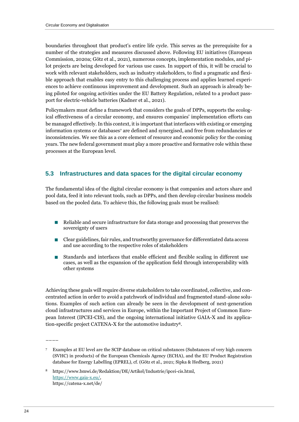boundaries throughout that product's entire life cycle. This serves as the prerequisite for a number of the strategies and measures discussed above. Following EU initiatives (European Commission, 2020a; Götz et al., 2021), numerous concepts, implementation modules, and pilot projects are being developed for various use cases. In support of this, it will be crucial to work with relevant stakeholders, such as industry stakeholders, to find a pragmatic and flexible approach that enables easy entry to this challenging process and applies learned experiences to achieve continuous improvement and development. Such an approach is already being piloted for ongoing activities under the EU Battery Regulation, related to a product passport for electric-vehicle batteries (Kadner et al., 2021).

Policymakers must define a framework that considers the goals of DPPs, supports the ecological effectiveness of a circular economy, and ensures companies' implementation efforts can be managed effectively. In this context, it is important that interfaces with existing or emerging information systems or databases<sup>7</sup> are defined and synergised, and free from redundancies or inconsistencies. We see this as a core element of resource and economic policy for the coming years. The new federal government must play a more proactive and formative role within these processes at the European level.

#### **5.3 Infrastructures and data spaces for the digital circular economy**

The fundamental idea of the digital circular economy is that companies and actors share and pool data, feed it into relevant tools, such as DPPs, and then develop circular business models based on the pooled data. To achieve this, the following goals must be realised:

- Reliable and secure infrastructure for data storage and processing that preserves the sovereignty of users
- Clear guidelines, fair rules, and trustworthy governance for differentiated data access and use according to the respective roles of stakeholders
- Standards and interfaces that enable efficient and flexible scaling in different use cases, as well as the expansion of the application field through interoperability with other systems

Achieving these goals will require diverse stakeholders to take coordinated, collective, and concentrated action in order to avoid a patchwork of individual and fragmented stand-alone solutions. Examples of such action can already be seen in the development of next-generation cloud infrastructures and services in Europe, within the Important Project of Common European Interest (IPCEI-CIS), and the ongoing international initiative GAIA-X and its application-specific project CATENA-X for the automotive industry8.

––––

<sup>7</sup> Examples at EU level are the SCIP database on critical substances (Substances of very high concern (SVHC) in products) of the European Chemicals Agency (ECHA), and the EU Product Registration database for Energy Labelling (EPREL), cf. (Götz et al., 2021; Sipka & Hedberg, 2021)

<sup>8</sup> https://www.bmwi.de/Redaktion/DE/Artikel/Industrie/ipcei-cis.html, [https://www.gaia-x.eu/,](https://www.gaia-x.eu/) https://catena-x.net/de/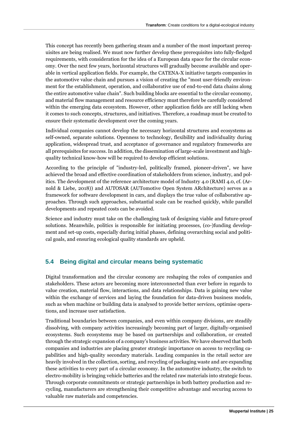This concept has recently been gathering steam and a number of the most important prerequisites are being realised. We must now further develop these prerequisites into fully-fledged requirements, with consideration for the idea of a European data space for the circular economy. Over the next few years, horizontal structures will gradually become available and operable in vertical application fields. For example, the CATENA-X initiative targets companies in the automotive value chain and pursues a vision of creating the "most user-friendly environment for the establishment, operation, and collaborative use of end-to-end data chains along the entire automotive value chain". Such building blocks are essential to the circular economy, and material flow management and resource efficiency must therefore be carefully considered within the emerging data ecosystem. However, other application fields are still lacking when it comes to such concepts, structures, and initiatives. Therefore, a roadmap must be created to ensure their systematic development over the coming years.

Individual companies cannot develop the necessary horizontal structures and ecosystems as self-owned, separate solutions. Openness to technology, flexibility and individuality during application, widespread trust, and acceptance of governance and regulatory frameworks are all prerequisites for success. In addition, the dissemination of large-scale investment and highquality technical know-how will be required to develop efficient solutions.

According to the principle of "industry-led, politically framed, pioneer-driven", we have achieved the broad and effective coordination of stakeholders from science, industry, and politics. The development of the reference architecture model of Industry 4.0 (RAMI 4.0, cf. (Arnold & Liebe, 2018)) and AUTOSAR (AUTomotive Open System ARchitecture) serves as a framework for software development in cars, and displays the true value of collaborative approaches. Through such approaches, substantial scale can be reached quickly, while parallel developments and repeated costs can be avoided.

Science and industry must take on the challenging task of designing viable and future-proof solutions. Meanwhile, politics is responsible for initiating processes, (co-)funding development and set-up costs, especially during initial phases, defining overarching social and political goals, and ensuring ecological quality standards are upheld.

#### **5.4 Being digital and circular means being systematic**

Digital transformation and the circular economy are reshaping the roles of companies and stakeholders. These actors are becoming more interconnected than ever before in regards to value creation, material flow, interactions, and data relationships. Data is gaining new value within the exchange of services and laying the foundation for data-driven business models, such as when machine or building data is analysed to provide better services, optimise operations, and increase user satisfaction.

Traditional boundaries between companies, and even within company divisions, are steadily dissolving, with company activities increasingly becoming part of larger, digitally-organised ecosystems. Such ecosystems may be based on partnerships and collaboration, or created through the strategic expansion of a company's business activities. We have observed that both companies and industries are placing greater strategic importance on access to recycling capabilities and high-quality secondary materials. Leading companies in the retail sector are heavily involved in the collection, sorting, and recycling of packaging waste and are expanding these activities to every part of a circular economy. In the automotive industry, the switch to electro-mobility is bringing vehicle batteries and the related raw materials into strategic focus. Through corporate commitments or strategic partnerships in both battery production and recycling, manufacturers are strengthening their competitive advantage and securing access to valuable raw materials and competencies.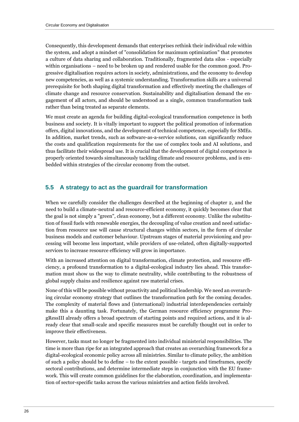Consequently, this development demands that enterprises rethink their individual role within the system, and adopt a mindset of "consolidation for maximum optimization" that promotes a culture of data sharing and collaboration. Traditionally, fragmented data silos - especially within organisations – need to be broken up and rendered usable for the common good. Progressive digitalisation requires actors in society, administrations, and the economy to develop new competencies, as well as a systemic understanding. Transformation skills are a universal prerequisite for both shaping digital transformation and effectively meeting the challenges of climate change and resource conservation. Sustainability and digitalisation demand the engagement of all actors, and should be understood as a single, common transformation task rather than being treated as separate elements.

We must create an agenda for building digital-ecological transformation competence in both business and society. It is vitally important to support the political promotion of information offers, digital innovations, and the development of technical competence, especially for SMEs. In addition, market trends, such as software-as-a-service solutions, can significantly reduce the costs and qualification requirements for the use of complex tools and AI solutions, and thus facilitate their widespread use. It is crucial that the development of digital competence is properly oriented towards simultaneously tackling climate and resource problems, and is embedded within strategies of the circular economy from the outset.

#### **5.5 A strategy to act as the guardrail for transformation**

When we carefully consider the challenges described at the beginning of chapter 2, and the need to build a climate-neutral and resource-efficient economy, it quickly becomes clear that the goal is not simply a "green", clean economy, but a different economy. Unlike the substitution of fossil fuels with renewable energies, the decoupling of value creation and need satisfaction from resource use will cause structural changes within sectors, in the form of circular business models and customer behaviour. Upstream stages of material provisioning and processing will become less important, while providers of use-related, often digitally-supported services to increase resource efficiency will grow in importance.

With an increased attention on digital transformation, climate protection, and resource efficiency, a profound transformation to a digital-ecological industry lies ahead. This transformation must show us the way to climate neutrality, while contributing to the robustness of global supply chains and resilience against raw material crises.

None of this will be possible without proactivity and political leadership. We need an overarching circular economy strategy that outlines the transformation path for the coming decades. The complexity of material flows and (international) industrial interdependencies certainly make this a daunting task. Fortunately, the German resource efficiency programme ProgRessIII already offers a broad spectrum of starting points and required actions, and it is already clear that small-scale and specific measures must be carefully thought out in order to improve their effectiveness.

However, tasks must no longer be fragmented into individual ministerial responsibilities. The time is more than ripe for an integrated approach that creates an overarching framework for a digital-ecological economic policy across all ministries. Similar to climate policy, the ambition of such a policy should be to define – to the extent possible - targets and timeframes, specify sectoral contributions, and determine intermediate steps in conjunction with the EU framework. This will create common guidelines for the elaboration, coordination, and implementation of sector-specific tasks across the various ministries and action fields involved.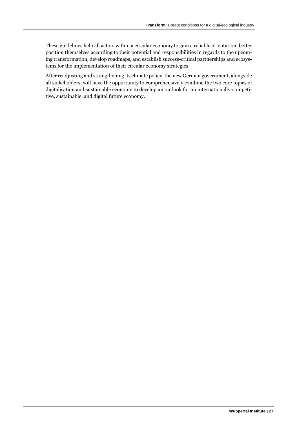These guidelines help all actors within a circular economy to gain a reliable orientation, better position themselves according to their potential and responsibilities in regards to the upcoming transformation, develop roadmaps, and establish success-critical partnerships and ecosystems for the implementation of their circular economy strategies.

After readjusting and strengthening its climate policy, the new German government, alongside all stakeholders, will have the opportunity to comprehensively combine the two core topics of digitalisation and sustainable economy to develop an outlook for an internationally-competitive, sustainable, and digital future economy.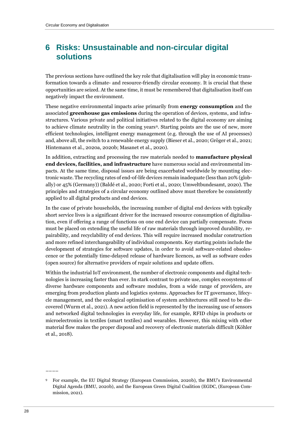# **6 Risks: Unsustainable and non-circular digital solutions**

The previous sections have outlined the key role that digitalisation will play in economic transformation towards a climate- and resource-friendly circular economy. It is crucial that these opportunities are seized. At the same time, it must be remembered that digitalisation itself can negatively impact the environment.

These negative environmental impacts arise primarily from **energy consumption** and the associated **greenhouse gas emissions** during the operation of devices, systems, and infrastructures. Various private and political initiatives related to the digital economy are aiming to achieve climate neutrality in the coming years9. Starting points are the use of new, more efficient technologies, intelligent energy management (e.g. through the use of AI processes) and, above all, the switch to a renewable energy supply (Bieser et al., 2020; Gröger et al., 2021; Hintemann et al., 2020a, 2020b; Masanet et al., 2020).

In addition, extracting and processing the raw materials needed to **manufacture physical end devices, facilities, and infrastructure** have numerous social and environmental impacts. At the same time, disposal issues are being exacerbated worldwide by mounting electronic waste. The recycling rates of end-of-life devices remain inadequate (less than 20% (globally) or 45% (Germany)) (Baldé et al., 2020; Forti et al., 2020; Umweltbundesamt, 2020). The principles and strategies of a circular economy outlined above must therefore be consistently applied to all digital products and end devices.

In the case of private households, the increasing number of digital end devices with typically short service lives is a significant driver for the increased resource consumption of digitalisation, even if offering a range of functions on one end device can partially compensate. Focus must be placed on extending the useful life of raw materials through improved durability, repairability, and recyclability of end devices. This will require increased modular construction and more refined interchangeability of individual components. Key starting points include the development of strategies for software updates, in order to avoid software-related obsolescence or the potentially time-delayed release of hardware licences, as well as software codes (open source) for alternative providers of repair solutions and update offers.

Within the industrial IoT environment, the number of electronic components and digital technologies is increasing faster than ever. In stark contrast to private use, complex ecosystems of diverse hardware components and software modules, from a wide range of providers, are emerging from production plants and logistics systems. Approaches for IT governance, lifecycle management, and the ecological optimisation of system architectures still need to be discovered (Wurm et al., 2021). A new action field is represented by the increasing use of sensors and networked digital technologies in everyday life, for example, RFID chips in products or microelectronics in textiles (smart textiles) and wearables. However, this mixing with other material flow makes the proper disposal and recovery of electronic materials difficult (Köhler et al., 2018).

––––

<sup>9</sup> For example, the EU Digital Strategy (European Commission, 2020b), the BMU's Environmental Digital Agenda (BMU, 2020b), and the European Green Digital Coalition (EGDC, (European Commission, 2021).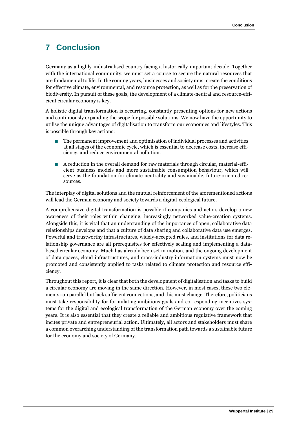### **7 Conclusion**

Germany as a highly-industrialised country facing a historically-important decade. Together with the international community, we must set a course to secure the natural resources that are fundamental to life. In the coming years, businesses and society must create the conditions for effective climate, environmental, and resource protection, as well as for the preservation of biodiversity. In pursuit of these goals, the development of a climate-neutral and resource-efficient circular economy is key.

A holistic digital transformation is occurring, constantly presenting options for new actions and continuously expanding the scope for possible solutions. We now have the opportunity to utilise the unique advantages of digitalisation to transform our economies and lifestyles. This is possible through key actions:

- ◼ The permanent improvement and optimisation of individual processes and activities at all stages of the economic cycle, which is essential to decrease costs, increase efficiency, and reduce environmental pollution.
- ◼ A reduction in the overall demand for raw materials through circular, material-efficient business models and more sustainable consumption behaviour, which will serve as the foundation for climate neutrality and sustainable, future-oriented resources.

The interplay of digital solutions and the mutual reinforcement of the aforementioned actions will lead the German economy and society towards a digital-ecological future.

A comprehensive digital transformation is possible if companies and actors develop a new awareness of their roles within changing, increasingly networked value-creation systems. Alongside this, it is vital that an understanding of the importance of open, collaborative data relationships develops and that a culture of data sharing and collaborative data use emerges. Powerful and trustworthy infrastructures, widely-accepted rules, and institutions for data relationship governance are all prerequisites for effectively scaling and implementing a databased circular economy. Much has already been set in motion, and the ongoing development of data spaces, cloud infrastructures, and cross-industry information systems must now be promoted and consistently applied to tasks related to climate protection and resource efficiency.

Throughout this report, it is clear that both the development of digitalisation and tasks to build a circular economy are moving in the same direction. However, in most cases, these two elements run parallel but lack sufficient connections, and this must change. Therefore, politicians must take responsibility for formulating ambitious goals and corresponding incentives systems for the digital and ecological transformation of the German economy over the coming years. It is also essential that they create a reliable and ambitious regulative framework that incites private and entrepreneurial action. Ultimately, all actors and stakeholders must share a common overarching understanding of the transformation path towards a sustainable future for the economy and society of Germany.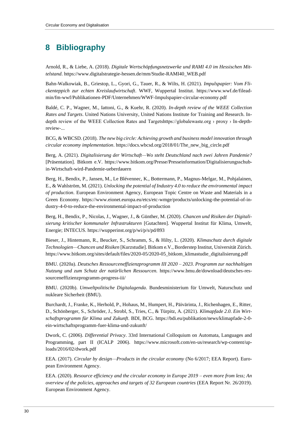# **8 Bibliography**

Arnold, R., & Liebe, A. (2018). *Digitale Wertschöpfungsnetzwerke und RAMI 4.0 im Hessischen Mittelstand*. https://www.digitalstrategie-hessen.de/mm/Studie-RAMI40\_WEB.pdf

Bahn-Walkowiak, B., Griestop, L., Gyori, G., Tauer, R., & Wilts, H. (2021). *Impulspapier: Vom Flickenteppich zur echten Kreislaufwirtschaft*. WWF, Wuppertal Institut. https://www.wwf.de/fileadmin/fm-wwf/Publikationen-PDF/Unternehmen/WWF-Impulspapier-circular-economy.pdf

Baldé, C. P., Wagner, M., Iattoni, G., & Kuehr, R. (2020). *In-depth review of the WEEE Collection Rates and Targets*. United Nations University, United Nations Institute for Training and Research. Indepth review of the WEEE Collection Rates and Targetshttps://globalewaste.org › proxy › In-depthreview-...

BCG, & WBCSD. (2018). *The new big circle: Achieving growth and business model innovation through circular economy implementation*. https://docs.wbcsd.org/2018/01/The\_new\_big\_circle.pdf

Berg, A. (2021). *Digitalisierung der Wirtschaft—Wo steht Deutschland nach zwei Jahren Pandemie?* [Präsentation]. Bitkom e.V. https://www.bitkom.org/Presse/Presseinformation/Digitalisierungsschubin-Wirtschaft-wird-Pandemie-ueberdauern

Berg, H., Bendix, P., Jansen, M., Le Blévennec, K., Bottermann, P., Magnus-Melgar, M., Pohjalainen, E., & Wahlström, M. (2021). *Unlocking the potential of Industry 4.0 to reduce the environmental impact of production*. European Environment Agency, European Topic Centre on Waste and Materials in a Green Economy. https://www.eionet.europa.eu/etcs/etc-wmge/products/unlocking-the-potential-of-industry-4-0-to-reduce-the-environmental-impact-of-production

Berg, H., Bendix, P., Nicolas, J., Wagner, J., & Günther, M. (2020). *Chancen und Risiken der Digitalisierung kritischer kommunaler Infrastrukturen* [Gutachten]. Wuppertal Institut für Klima, Umwelt, Energie; INTECUS. https://wupperinst.org/p/wi/p/s/pd/893

Bieser, J., Hintemann, R., Beucker, S., Schramm, S., & Hilty, L. (2020). *Klimaschutz durch digitale Technologien—Chancen und Risiken* [Kurzstudie]. Bitkom e.V., Borderstep Institut, Universität Zürich. https://www.bitkom.org/sites/default/files/2020-05/2020-05\_bitkom\_klimastudie\_digitalisierung.pdf

BMU. (2020a). *Deutsches Ressourceneffizienzprogramm III 2020 – 2023. Programm zur nachhaltigen Nutzung und zum Schutz der natürlichen Ressourcen.* https://www.bmu.de/download/deutsches-ressourceneffizienzprogramm-progress-iii/

BMU. (2020b). *Umweltpolitische Digitalagenda*. Bundesministerium für Umwelt, Naturschutz und nukleare Sicherheit (BMU).

Burchardt, J., Franke, K., Herhold, P., Hohaus, M., Humpert, H., Päivärinta, J., Richenhagen, E., Ritter, D., Schönberger, S., Schröder, J., Strobl, S., Tries, C., & Türpitz, A. (2021). *Klimapfade 2.0. Ein Wirtschaftsprogramm für Klima und Zukunft*. BDI, BCG. https://bdi.eu/publikation/news/klimapfade-2-0 ein-wirtschaftsprogramm-fuer-klima-und-zukunft/

Dwork, C. (2006). *Differential Privacy*. 33rd International Colloquium on Automata, Languages and Programming, part II (ICALP 2006). https://www.microsoft.com/en-us/research/wp-content/uploads/2016/02/dwork.pdf

EEA. (2017). *Circular by design—Products in the circular economy* (No 6/2017; EEA Report). European Environment Agency.

EEA. (2020). *Resource efficiency and the circular economy in Europe 2019 – even more from less; An overview of the policies, approaches and targets of 32 European countries* (EEA Report Nr. 26/2019). European Environment Agency.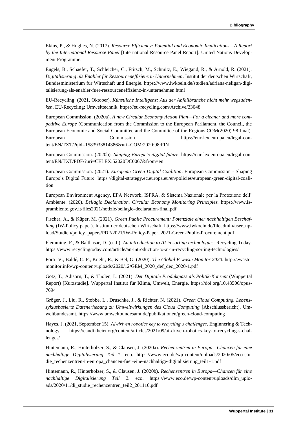Ekins, P., & Hughes, N. (2017). *Resource Efficiency: Potential and Economic Implications—A Report by the International Resource Panel* [International Resource Panel Report]. United Nations Development Programme.

Engels, B., Schaefer, T., Schleicher, C., Fritsch, M., Schmitz, E., Wiegand, R., & Arnold, R. (2021). *Digitalisierung als Enabler für Ressourceneffizienz in Unternehmen*. Institut der deutschen Wirtschaft, Bundesministerium für Wirtschaft und Energie. https://www.iwkoeln.de/studien/adriana-neligan-digitalisierung-als-enabler-fuer-ressourceneffizienz-in-unternehmen.html

EU-Recycling. (2021, Oktober). *Künstliche Intelligenz: Aus der Abfallbranche nicht mehr wegzudenken*. EU-Recycling: Umwelttechnik. https://eu-recycling.com/Archive/33048

European Commission. (2020a). *A new Circular Economy Action Plan—For a cleaner and more competitive Europe* (Communication from the Commission to the European Parliament, the Council, the European Economic and Social Committee and the Committee of the Regions COM(2020) 98 final). European Commission. https://eur-lex.europa.eu/legal-content/EN/TXT/?qid=1583933814386&uri=COM:2020:98:FIN

European Commission. (2020b). *Shaping Europe's digital future*. https://eur-lex.europa.eu/legal-content/EN/TXT/PDF/?uri=CELEX:52020DC0067&from=en

European Commission. (2021). *European Green Digital Coalition*. European Commission - Shaping Europe's Digital Future. https://digital-strategy.ec.europa.eu/en/policies/european-green-digital-coalition

European Environment Agency, EPA Network, ISPRA, & Sistema Nazionale per la Protezione dell' Ambiente. (2020). *Bellagio Declaration. Circular Economy Monitoring Principles.* https://www.isprambiente.gov.it/files2021/notizie/bellagio-declaration-final.pdf

Fischer, A., & Küper, M. (2021). *Green Public Procurement: Potenziale einer nachhaltigen Beschaffung* (IW-Policy paper). Institut der deutschen Wirtschaft. https://www.iwkoeln.de/fileadmin/user\_upload/Studien/policy\_papers/PDF/2021/IW-Policy-Paper\_2021-Green-Public-Procurement.pdf

Flemming, F., & Balthasar, D. (o. J.). *An introduction to AI in sorting technologies*. Recycling Today. https://www.recyclingtoday.com/article/an-introduction-to-ai-in-recycling-sorting-technologies/

Forti, V., Baldé, C. P., Kuehr, R., & Bel, G. (2020). *The Global E-waste Monitor 2020*. http://ewastemonitor.info/wp-content/uploads/2020/12/GEM\_2020\_def\_dec\_2020-1.pdf

Götz, T., Adisorn, T., & Tholen, L. (2021). *Der Digitale Produktpass als Politik-Konzept* (Wuppertal Report) [Kurzstudie]. Wuppertal Institut für Klima, Umwelt, Energie. https://doi.org/10.48506/opus-7694

Gröger, J., Liu, R., Stobbe, L., Druschke, J., & Richter, N. (2021). *Green Cloud Computing. Lebenszyklusbasierte Datenerhebung zu Umweltwirkungen des Cloud Computing* [Abschlussbericht]. Umweltbundesamt. https://www.umweltbundesamt.de/publikationen/green-cloud-computing

Hayes, J. (2021, September 15). *AI-driven robotics key to recycling's challenges*. Enginnering & Technology. https://eandt.theiet.org/content/articles/2021/09/ai-driven-robotics-key-to-recycling-s-challenges/

Hintemann, R., Hinterholzer, S., & Clausen, J. (2020a). *Rechenzentren in Europa—Chancen für eine nachhaltige Digitalisierung Teil 1*. eco. https://www.eco.de/wp-content/uploads/2020/05/eco-studie\_rechenzentren-in-europa\_chancen-fuer-eine-nachhaltige-digitalisierung\_teil1-1.pdf

Hintemann, R., Hinterholzer, S., & Clausen, J. (2020b). *Rechenzentren in Europa—Chancen für eine nachhaltige Digitalisierung Teil 2*. eco. https://www.eco.de/wp-content/uploads/dlm\_uploads/2020/11/di\_studie\_rechenzentren\_teil2\_201110.pdf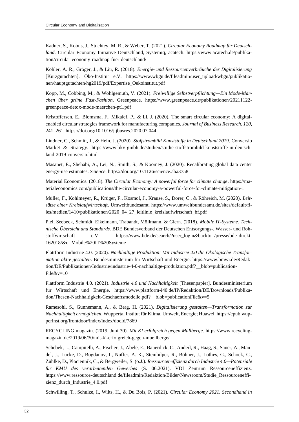Kadner, S., Kobus, J., Stuchtey, M. R., & Weber, T. (2021). *Circular Economy Roadmap für Deutschland*. Circular Economy Initiative Deutschland, Systemiq, acatech. https://www.acatech.de/publikation/circular-economy-roadmap-fuer-deutschland/

Köhler, A. R., Gröger, J., & Liu, R. (2018). *Energie- und Ressourcenverbräuche der Digitalisierung* [Kurzgutachten]. Öko-Institut e.V. https://www.wbgu.de/fileadmin/user\_upload/wbgu/publikationen/hauptgutachten/hg2019/pdf/Expertise\_Oekoinstitut.pdf

Kopp, M., Cobbing, M., & Wohlgemuth, V. (2021). *Freiwillige Selbstverpflichtung—Ein Mode-Märchen über grüne Fast-Fashion*. Greenpeace. https://www.greenpeace.de/publikationen/20211122 greenpeace-detox-mode-maerchen-pt1.pdf

Kristoffersen, E., Blomsma, F., Mikalef, P., & Li, J. (2020). The smart circular economy: A digitalenabled circular strategies framework for manufacturing companies. *Journal of Business Research*, *120*, 241–261. https://doi.org/10.1016/j.jbusres.2020.07.044

Lindner, C., Schmitt, J., & Hein, J. (2020). *Stoffstrombild Kunststoffe in Deutschland 2019*. Conversio Market & Strategy. https://www.bkv-gmbh.de/studien/studie-stoffstrombild-kunststoffe-in-deutschland-2019-conversio.html

Masanet, E., Shehabi, A., Lei, N., Smith, S., & Koomey, J. (2020). Recalibrating global data center energy-use estimates. *Science*. https://doi.org/10.1126/science.aba3758

Material Economics. (2018). *The Circular Economy: A powerful force for climate change*. https://materialeconomics.com/publications/the-circular-economy-a-powerful-force-for-climate-mitigation-1

Müller, F., Kohlmeyer, R., Krüger, F., Kosmol, J., Krause, S., Dorer, C., & Röhreich, M. (2020). *Leitsätze einer Kreislaufwirtschaft*. Umweltbundesamt. https://www.umweltbundesamt.de/sites/default/files/medien/1410/publikationen/2020\_04\_27\_leitlinie\_kreislaufwirtschaft\_bf.pdf

Piel, Seebeck, Schmidt, Eikelmann, Trabandt, Möllmann, & Giern. (2018). *Mobile IT-Systeme. Technische Übersicht und Standards.* BDE Bundesverband der Deutschen Entsorgungs-, Wasser- und Rohstoffwirtschaft e.V. https://www.bde.de/search/?user\_login&backto=/presse/bde-direkt-162018/&q=Mobile%20IT%20Systeme

Plattform Industrie 4.0. (2020). *Nachhaltige Produktion: Mit Industrie 4.0 die Ökologische Transformation aktiv gestalten*. Bundesministerium für Wirtschaft und Energie. https://www.bmwi.de/Redaktion/DE/Publikationen/Industrie/industrie-4-0-nachhaltige-produktion.pdf?\_\_blob=publication-File&v=10

Plattform Industrie 4.0. (2021). *Industrie 4.0 und Nachhaltigkeit* [Thesenpapier]. Bundesministerium für Wirtschaft und Energie. https://www.plattform-i40.de/IP/Redaktion/DE/Downloads/Publikation/Thesen-Nachhaltigkeit-Geschaeftsmodelle.pdf?\_\_blob=publicationFile&v=5

Ramesohl, S., Gunnemann, A., & Berg, H. (2021). *Digitalisierung gestalten—Transformation zur Nachhaltigkeit ermöglichen*. Wuppertal Institut für Klima, Umwelt, Energie; Huawei. https://epub.wupperinst.org/frontdoor/index/index/docId/7869

RECYCLING magazin. (2019, Juni 30). *Mit KI erfolgreich gegen Müllberge*. https://www.recyclingmagazin.de/2019/06/30/mit-ki-erfolgreich-gegen-muellberge/

Schebek, L., Campitelli, A., Fischer, J., Abele, E., Bauerdick, C., Anderl, R., Haag, S., Sauer, A., Mandel, J., Lucke, D., Bogdanov, I., Nuffer, A.-K., Steinhilper, R., Böhner, J., Lothes, G., Schock, C., Zühlke, D., Plociennik, C., & Bergweiler, S. (o.J.). *Ressourceneffizienz durch Industrie 4.0—Potenziale für KMU des verarbeitenden Gewerbes* (S. 06.2021). VDI Zentrum Ressourceneffizienz. https://www.ressource-deutschland.de/fileadmin/Redaktion/Bilder/Newsroom/Studie\_Ressourceneffizienz\_durch\_Industrie\_4.0.pdf

Schwilling, T., Schulze, I., Wilts, H., & Du Bois, P. (2021). *Circular Economy 2021. Secondhand in*